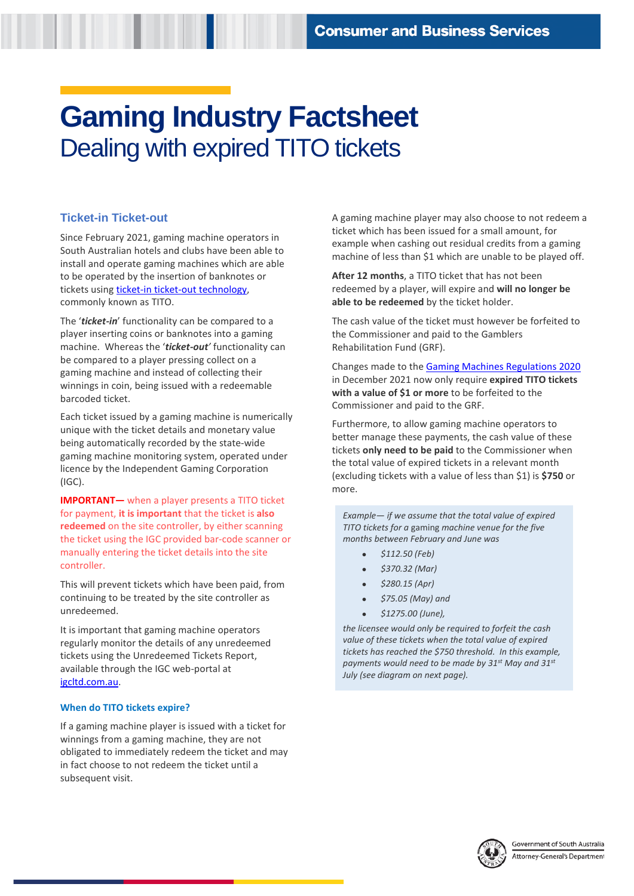# **Gaming Industry Factsheet**  Dealing with expired TITO tickets

# **Ticket-in Ticket-out**

Since February 2021, gaming machine operators in South Australian hotels and clubs have been able to install and operate gaming machines which are able to be operated by the insertion of banknotes or tickets using [ticket-in ticket-out technology,](https://www.sa.gov.au/topics/business-and-trade/gambling/running-a-gaming-venue/operating-gaming-machines) commonly known as TITO.

The '*ticket-in*' functionality can be compared to a player inserting coins or banknotes into a gaming machine. Whereas the '*ticket-out'* functionality can be compared to a player pressing collect on a gaming machine and instead of collecting their winnings in coin, being issued with a redeemable barcoded ticket.

Each ticket issued by a gaming machine is numerically unique with the ticket details and monetary value being automatically recorded by the state-wide gaming machine monitoring system, operated under licence by the Independent Gaming Corporation (IGC).

**IMPORTANT—** when a player presents a TITO ticket for payment, **it is important** that the ticket is **also redeemed** on the site controller, by either scanning the ticket using the IGC provided bar-code scanner or manually entering the ticket details into the site controller.

This will prevent tickets which have been paid, from continuing to be treated by the site controller as unredeemed.

It is important that gaming machine operators regularly monitor the details of any unredeemed tickets using the Unredeemed Tickets Report, available through the IGC web-portal at [igcltd.com.au.](http://www.igcltd.com.au/) 

## **When do TITO tickets expire?**

If a gaming machine player is issued with a ticket for winnings from a gaming machine, they are not obligated to immediately redeem the ticket and may in fact choose to not redeem the ticket until a subsequent visit.

A gaming machine player may also choose to not redeem a ticket which has been issued for a small amount, for example when cashing out residual credits from a gaming machine of less than \$1 which are unable to be played off.

**After 12 months**, a TITO ticket that has not been redeemed by a player, will expire and **will no longer be able to be redeemed** by the ticket holder.

The cash value of the ticket must however be forfeited to the Commissioner and paid to the Gamblers Rehabilitation Fund (GRF).

Changes made to th[e Gaming Machines Regulations 2020](https://www.legislation.sa.gov.au/lz?path=/c/r/gaming%20machines%20regulations%202020) in December 2021 now only require **expired TITO tickets with a value of \$1 or more** to be forfeited to the Commissioner and paid to the GRF.

Furthermore, to allow gaming machine operators to better manage these payments, the cash value of these tickets **only need to be paid** to the Commissioner when the total value of expired tickets in a relevant month (excluding tickets with a value of less than \$1) is **\$750** or more.

*Example— if we assume that the total value of expired TITO tickets for a* gaming *machine venue for the five months between February and June was* 

- *\$112.50 (Feb)*
- *\$370.32 (Mar)*
- *\$280.15 (Apr)*
- *\$75.05 (May) and*
- *\$1275.00 (June),*

*the licensee would only be required to forfeit the cash value of these tickets when the total value of expired tickets has reached the \$750 threshold. In this example, payments would need to be made by 31st May and 31st July (see diagram on next page).* 

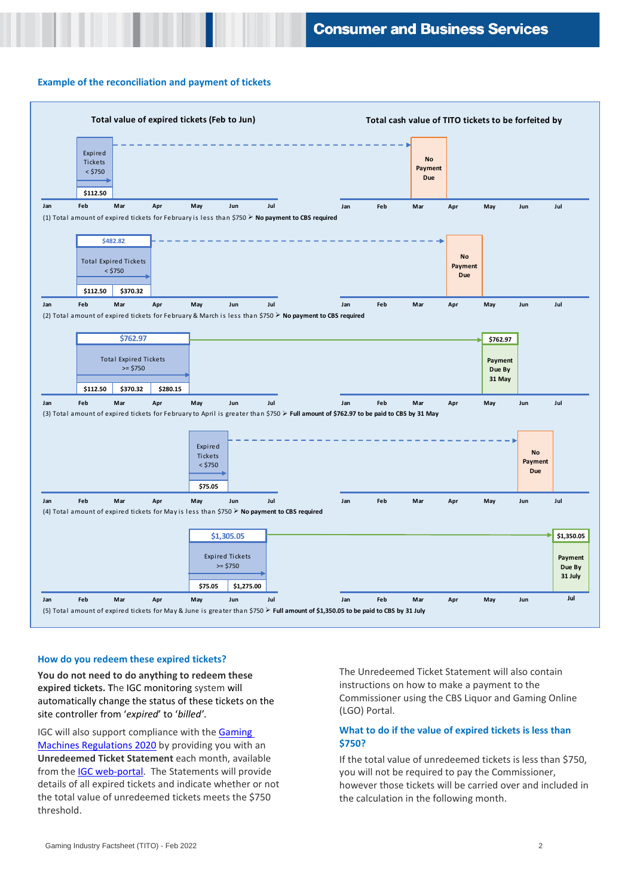#### **Example of the reconciliation and payment of tickets**



#### **How do you redeem these expired tickets?**

**You do not need to do anything to redeem these expired tickets. T**he IGC monitoring system will automatically change the status of these tickets on the site controller from '*expired*' to '*billed'*.

IGC will also support compliance with th[e Gaming](https://www.legislation.sa.gov.au/lz?path=/c/r/gaming%20machines%20regulations%202020)  [Machines Regulations 2020](https://www.legislation.sa.gov.au/lz?path=/c/r/gaming%20machines%20regulations%202020) by providing you with an **Unredeemed Ticket Statement** each month, available from the [IGC web-portal.](http://www.igcltd.com.au/) The Statements will provide details of all expired tickets and indicate whether or not the total value of unredeemed tickets meets the \$750 threshold.

The Unredeemed Ticket Statement will also contain instructions on how to make a payment to the Commissioner using the CBS Liquor and Gaming Online (LGO) Portal.

## **What to do if the value of expired tickets is less than \$750?**

If the total value of unredeemed tickets is less than \$750, you will not be required to pay the Commissioner, however those tickets will be carried over and included in the calculation in the following month.